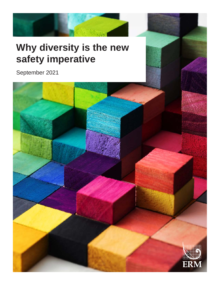

# **Why diversity is the new safety imperative**

September 2021

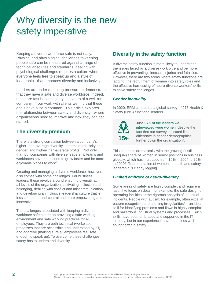## Why diversity is the new safety imperative

Keeping a diverse workforce safe is not easy. Physical and physiological challenges to keeping people safe can be measured against a range of technical absolutes and standards; dealing with psychological challenges requires a culture where everyone feels free to speak up and a style of leadership - that embraces diversity and inclusivity.

Leaders are under mounting pressure to demonstrate that they have a safe and diverse workforce. Indeed, these are fast becoming key indicators of a well-run company. In our work with clients we find that these goals have a lot in common. This article explores the relationship between safety and diversity - where organizations need to improve and how they can get started.

### **The diversity premium**

There is a strong correlation between a company's higher-than-average diversity, in terms of ethnicity and gender, and higher-than-average profits<sup>1</sup>. Not only that, but companies with diverse leadership teams and workforces have been seen to grow faster and be more enjoyable places to work<sup>2</sup>.

Creating and managing a diverse workforce, however, also comes with some challenges. For business leaders, these revolve around ensuring diversity at all levels of the organization, cultivating inclusion and belonging, dealing with conflict and miscommunication, and developing an inclusive leadership culture that is less command-and-control and more empowering and innovative.

The challenges associated with keeping a diverse workforce safe centre on providing a safe working environment and safe working practices for all employees. They are both technical (workplace processes that are accessible and understood by all) and adaptive (making sure all employees feel safe enough to speak up). To overcome these challenges safety has to understand diversity.

### **Diversity in the safety function**

A diverse safety function is more likely to understand the issues faced by a diverse workforce and be more effective in preventing illnesses, injuries and fatalities. However, there are two areas where safety functions are lagging: the recruitment of women into safety roles and the effective harnessing of neuro-diverse workers' skills to solve safety challenges.

#### *Gender inequality*

In 2020, ERM conducted a global survey of 273 Health & Safety (H&S) functional leaders.

|  | ℀ |
|--|---|

Just 15% of the leaders we interviewed were women, despite the fact that our survey indicated little difference in gender demographics further down the organization<sup>5</sup>.

This contrasts dramatically with the growing (if still unequal) share of women in senior positions in business globally, which has increased from 19% in 2004 to 29% in 2020<sup>3</sup>. Representation of women in health and safety leadership is clearly lagging.

#### *Limited embrace of neuro-diversity*

Some areas of safety are highly complex and require a laser-like focus on detail, for example, the safe design of operating facilities or the rigorous analysis of industrial incidents. People with autism, for example, often excel at pattern recognition and spotting irregularities<sup>4</sup> – an ideal skill for identifying problems and flaws in highly complex and hazardous industrial systems and processes. Such skills have been embraced and supported in the IT industry, but in our experience, have been less well sought after in safety.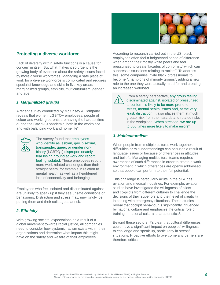

#### **Protecting a diverse workforce**

Lack of diversity within safety functions is a cause for concern in itself. But what makes it so urgent is the growing body of evidence about the safety issues faced by more diverse workforces. Managing a safe place of work for a diverse workforce is complicated and requires specialist knowledge and skills in five key areas: marginalized groups, ethnicity, multiculturalism, gender and age.

#### *1. Marginalized groups*

A recent survey conducted by McKinsey & Company reveals that women, LGBTQ+ employees, people of colour and working parents are having the hardest time during the Covid-19 pandemic, both in the workplace and with balancing work and home life<sup>6</sup>.



The survey found that employees who identify as lesbian, gay, bisexual, transgender, queer, or gender nonbinary (LGBTQ+) disproportionately fear losing ground at work and report feeling isolated. These employees report more work-related challenges than their straight peers, for example in relation to mental health, as well as a heightened loss of connectivity and belonging.

Employees who feel isolated and discriminated against are unlikely to speak up if they see unsafe conditions or behaviours. Distraction and stress may, unwittingly, be putting them and their colleagues at risk.

#### *2. Ethnicity*

With growing societal expectations as a result of a global movement towards racial justice, all companies need to consider how systemic racism exists within their organizations and determine what impact this might have on the safety and welfare of their employees.

According to research carried out in the US, black employees often feel a heightened sense of difference when among their mostly white peers and feel pressurized to create 'facades of conformity' which can suppress discussions relating to racism<sup>7</sup>. To address this, some companies invite black professionals to become "champions of minority groups", adding a new role to the one they were actually hired for and creating an increased workload.

> From a safety perspective, any group feeling discriminated against, isolated or pressurized to conform is likely to be more prone to stress, mental health issues and, at the very least, distraction. It also places them at much greater risk from the hazards and related risks in the workplace. When stressed, we are up to 500 times more likely to make errors $9$ .

#### *3. Multiculturalism*

**!**

When people from multiple cultures work together, difficulties or misunderstandings can occur as a result of language issues or because of differences in attitudes and beliefs. Managing multicultural teams requires awareness of such differences in order to create a work environment in which differences are openly addressed so that people can perform to their full potential.

This challenge is particularly acute in the oil & gas, aviation and medical industries. For example, aviation studies have investigated the willingness of pilots and co-pilots from different cultures to challenge the decisions of their superiors and their level of creativity in coping with emergency situations. These studies reveal that cockpit behaviour is significantly influenced by national culture and emphasize the critical role of training in national cultural characteristics<sup>8</sup>.

Beyond these sectors, it's clear that cultural differences could have a significant impact on peoples' willingness to challenge and speak up, particularly in stressful situations. Proactive efforts to overcome any barriers are therefore critical.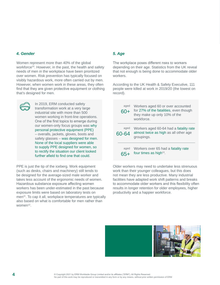#### *4. Gender*

Women represent more than 40% of the global workforce<sup>10</sup>. However, in the past, the health and safety needs of men in the workplace have been prioritized over women. Risk prevention has typically focused on visibly hazardous work, more often carried out by men. However, when women work in these areas, they often find that they are given protective equipment or clothing that's designed for men.



In 2019, ERM conducted safety transformation work at a very large industrial site with more than 500 women working in front-line operations. One of the first topics to emerge during our women-only focus groups was why personal protective equipment (PPE) – overalls, jackets, gloves, boots and safety glasses – was designed for men. None of the local suppliers were able to supply PPE designed for women, so to rectify the situation our client looked further afield to find one that could.

PPE is just the tip of the iceberg. Work equipment (such as desks, chairs and machinery) still tends to be designed for the average-sized male worker and takes less account of the ergonomic needs of women. Hazardous substance exposure affecting women workers has been under-estimated in the past because exposure limits were based on laboratory tests on men<sup>11</sup>. To cap it all, workplace temperatures are typically also based on what is comfortable for men rather than women<sup>12</sup>.

#### *5. Age*

The workplace poses different risks to workers depending on their age. Statistics from the UK reveal that not enough is being done to accommodate older workers.

According to the UK Health & Safety Executive, 111 people were killed at work in 2019/20 (the lowest on record).

| aged<br>60+   | Workers aged 60 or over accounted<br>for 27% of the fatalities, even though<br>they make up only 10% of the<br>workforce. |
|---------------|---------------------------------------------------------------------------------------------------------------------------|
| aged<br>60-64 | Workers aged 60-64 had a fatality rate<br>almost twice as high as all other age<br>groupings.                             |
| aged          | Workers over 65 had a fatality rate<br>four times as high <sup>13</sup> .                                                 |

Older workers may need to undertake less strenuous work than their younger colleagues, but this does not mean they are less productive. Many industrial facilities have adapted work shift patterns and breaks to accommodate older workers and this flexibility often results in longer retention for older employees, higher productivity and a happier workforce.

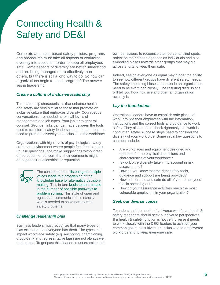## Connecting Health & Safety and DE&I

Corporate and asset-based safety policies, programs and procedures must take all aspects of workforce diversity into account in order to keep all employees safe. Some aspects of diversity are better understood and are being managed more effectively than others, but there is still a long way to go. So how can organizations begin to make progress? The answer lies in leadership.

#### *Create a culture of inclusive leadership*

The leadership characteristics that enhance health and safety are very similar to those that promote an inclusive culture that embraces diversity. Courageous conversations are needed across all levels of management and job types, from janitor to general counsel. Stronger links can be made between the tools used to transform safety leadership and the approaches used to promote diversity and inclusion in the workforce.

Organizations with high levels of psychological safety create an environment where people feel free to speak up, ask questions, and make suggestions without fear of retribution, or concern that their comments might damage their relationships or reputation.

The consequence of listening to multiple voices leads to a broadening of the knowledge base for alternative decisionmaking. This in turn leads to an increase in the number of possible pathways to problem solving. This style of open and egalitarian communication is exactly what's needed to solve non-routine safety problems.

#### *Challenge leadership bias*

Business leaders must recognize that many types of bias exist and that everyone has them. The types that impact workplace safety (e.g. anchoring, championing, group-think and representative bias) are not always well understood. To get past this, leaders must examine their own behaviours to recognize their personal blind-spots, reflect on their hidden agendas as individuals and also embodied biases towards other groups that may cut across efforts to keep them safe.

Indeed, seeing everyone as equal may hinder the ability to see how different groups have different safety needs. The safety-impacting biases that exist in an organization need to be examined closely. The resulting discussions will tell you how inclusive and open an organization actually is.

#### *Lay the foundations*

Operational leaders have to establish safe places of work, provide their employees with the information, instructions and the correct tools and guidance to work safely. They also need to check rigorously that work is conducted safely. All these steps need to consider the diversity of your workforce. Some initial key questions to consider include:

- Are workplaces and equipment designed and operated for the physical dimensions and characteristics of your workforce?
- Is workforce diversity taken into account in risk assessments?
- How do you know that the right safety tools, guidance and support are being provided?
- How comfortable and safe do all of your employees feel in speaking out?
- How do your assurance activities reach the most vulnerable employees in your organization?

#### *Seek out diverse voices*

To understand the needs of a diverse workforce health & safety managers should seek out diverse perspectives. If a health & safety function is not very diverse it needs to work closely with the DE&I leaders to achieve your common goals - to cultivate an inclusive and empowered workforce and to keep everyone safe.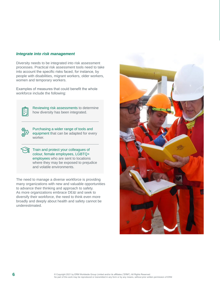#### *Integrate into risk management*

Diversity needs to be integrated into risk assessment processes. Practical risk assessment tools need to take into account the specific risks faced, for instance, by people with disabilities, migrant workers, older workers, women and temporary workers.

Examples of measures that could benefit the whole workforce include the following:



Reviewing risk assessments to determine how diversity has been integrated.



Purchasing a wider range of tools and equipment that can be adapted for every worker.

Train and protect your colleagues of colour, female employees, LGBTQ+ employees who are sent to locations where they may be exposed to prejudice and volatile environments.

The need to manage a diverse workforce is providing many organizations with new and valuable opportunities to advance their thinking and approach to safety. As more organizations embrace DE&I and seek to diversify their workforce, the need to think even more broadly and deeply about health and safety cannot be underestimated.

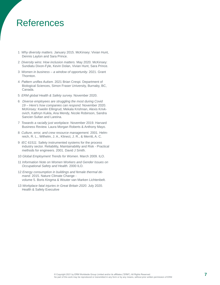### References

- 1 *Why diversity matters.* January 2015. McKinsey: Vivian Hunt, Dennis Layton and Sara Prince.
- 2 *Diversity wins: How inclusion matters.* May 2020. McKinsey: Sundiatu Dixon-Fyle, Kevin Dolan, Vivian Hunt, Sara Prince.
- 3 *Women in business a window of opportunity.* 2021. Grant Thornton.
- 4 *Pattern unifies Autism.* 2021 Brian Crespi. Department of Biological Sciences, Simon Fraser University, Burnaby, BC, Canada.
- 5 *ERM global Health & Safety survey.* November 2020.
- 6 *Diverse employees are struggling the most during Covid 19 – Here's how companies can respond.* November 2020. McKinsey: Kweilin Ellingrud, Mekala Krishnan, Alexis Krivkovich, Kathryn Kukla, Ana Mendy, Nicole Robinson, Sandra Sancier-Sultan and Lareina.
- 7 *Towards a racially just workplace.* November 2019. Harvard Business Review. Laura Morgan Roberts & Anthony Mayo.
- 8 *Culture, error, and crew resource management.* 2001. Helmreich, R. L., Wilhelm, J. A., Klinect, J. R., & Merritt, A. C.
- 9 *IEC 61511.* Safety instrumented systems for the process industry sector. Reliability, Maintainability and Risk - Practical methods for engineers. 2001. David J Smith.
- 10 *Global Employment Trends for Women.* March 2009. ILO.
- 11 *Information Note on Women Workers and Gender Issues on Occupational Safety and Health.* 2000 ILO.
- 12 *Energy consumption in buildings and female thermal demand.* 2015. Nature Climate Change volume 5. Boris Kingma & Wouter van Marken Lichtenbelt.
- 13 *Workplace fatal injuries in Great Britain 2020*. July 2020. Health & Safety Executive